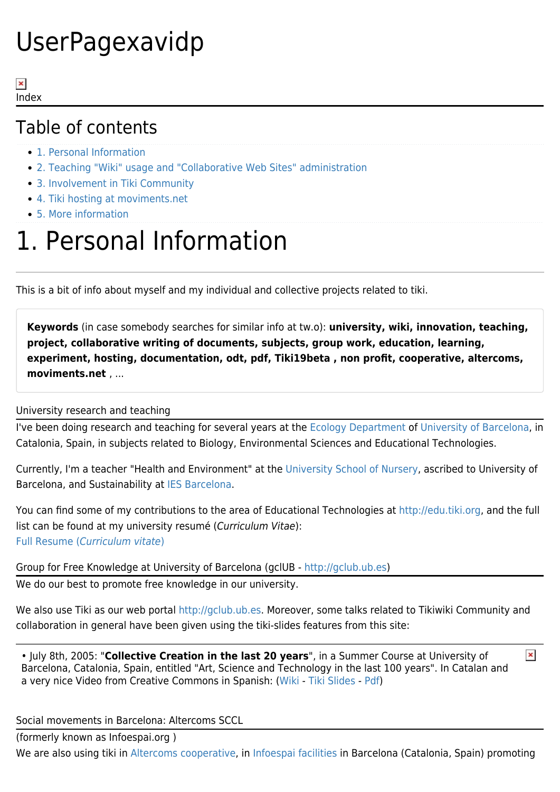# UserPagexavidp

 $\pmb{\times}$ Index

### Table of contents

- [1. Personal Information](#page--1-0)
- [2. Teaching "Wiki" usage and "Collaborative Web Sites" administration](#page--1-0)
- [3. Involvement in Tiki Community](#page--1-0)
- [4. Tiki hosting at moviments.net](#Tiki_hosting_at_moviments.net)
- [5. More information](#page--1-0)

### 1. Personal Information

This is a bit of info about myself and my individual and collective projects related to tiki.

**Keywords** (in case somebody searches for similar info at tw.o): **university, wiki, innovation, teaching, project, collaborative writing of documents, subjects, group work, education, learning, experiment, hosting, documentation, odt, pdf, Tiki19beta , non profit, cooperative, altercoms, moviments.net** , ...

#### University research and teaching

I've been doing research and teaching for several years at the [Ecology Department](http://www.ub.es/ecolo) of [University of Barcelona,](http://www.ub.es) in Catalonia, Spain, in subjects related to Biology, Environmental Sciences and Educational Technologies.

Currently, I'm a teacher "Health and Environment" at the [University School of Nursery](http://eui.hsjdbcn.org), ascribed to University of Barcelona, and Sustainability at [IES Barcelona](http://www.iesbarcelona.org/).

You can find some of my contributions to the area of Educational Technologies at<http://edu.tiki.org>, and the full list can be found at my university resumé (Curriculum Vitae): [Full Resume \(](https://webgrec.ub.edu/webs/05195_ENG.html)[Curriculum vitate](https://webgrec.ub.edu/webs/05195_ENG.html)[\)](https://webgrec.ub.edu/webs/05195_ENG.html)

Group for Free Knowledge at University of Barcelona (gclUB - <http://gclub.ub.es>) We do our best to promote free knowledge in our university.

We also use Tiki as our web portal [http://gclub.ub.es.](http://gclub.ub.es) Moreover, some talks related to Tikiwiki Community and collaboration in general have been given using the tiki-slides features from this site:

 $\pmb{\times}$ • July 8th, 2005: "**Collective Creation in the last 20 years**", in a Summer Course at University of Barcelona, Catalonia, Spain, entitled "Art, Science and Technology in the last 100 years". In Catalan and a very nice Video from Creative Commons in Spanish: [\(Wiki](http://gclub.ub.es/tiki-index.php?page=XerradaLaCreacioCollectiva) - [Tiki Slides](http://gclub.ub.es/tiki-slideshow.php?page=XerradaLaCreacioCollectiva) - [Pdf](http://gclub.ub.es/tiki-download_wiki_attachment.php?attId=2))

Social movements in Barcelona: Altercoms SCCL

(formerly known as Infoespai.org )

We are also using tiki in [Altercoms cooperative,](http://www.moviments.net) in [Infoespai facilities](http://infoespai.org) in Barcelona (Catalonia, Spain) promoting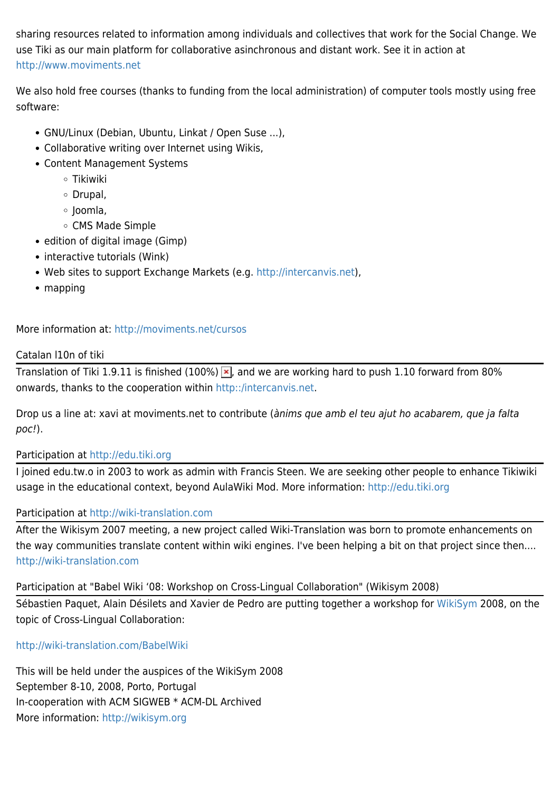sharing resources related to information among individuals and collectives that work for the Social Change. We use Tiki as our main platform for collaborative asinchronous and distant work. See it in action at <http://www.moviments.net>

We also hold free courses (thanks to funding from the local administration) of computer tools mostly using free software:

- GNU/Linux (Debian, Ubuntu, Linkat / Open Suse ...),
- Collaborative writing over Internet using Wikis,
- Content Management Systems
	- Tikiwiki
	- Drupal,
	- o Joomla,
	- CMS Made Simple
- edition of digital image (Gimp)
- interactive tutorials (Wink)
- Web sites to support Exchange Markets (e.g. <http://intercanvis.net>),
- mapping

More information at: <http://moviments.net/cursos>

#### Catalan l10n of tiki

Translation of Tiki 1.9.11 is finished (100%)  $\overline{x}$ , and we are working hard to push 1.10 forward from 80% onwards, thanks to the cooperation within [http::/intercanvis.net.](http::/intercanvis.net)

Drop us a line at: xavi at moviments.net to contribute (ànims que amb el teu ajut ho acabarem, que ja falta poc!).

#### Participation at <http://edu.tiki.org>

I joined edu.tw.o in 2003 to work as admin with Francis Steen. We are seeking other people to enhance Tikiwiki usage in the educational context, beyond AulaWiki Mod. More information:<http://edu.tiki.org>

#### Participation at <http://wiki-translation.com>

After the Wikisym 2007 meeting, a new project called Wiki-Translation was born to promote enhancements on the way communities translate content within wiki engines. I've been helping a bit on that project since then.... <http://wiki-translation.com>

Participation at "Babel Wiki '08: Workshop on Cross-Lingual Collaboration" (Wikisym 2008)

Sébastien Paquet, Alain Désilets and Xavier de Pedro are putting together a workshop for [WikiSym](http://wikisym.org) 2008, on the topic of Cross-Lingual Collaboration:

#### <http://wiki-translation.com/BabelWiki>

This will be held under the auspices of the WikiSym 2008 September 8-10, 2008, Porto, Portugal In-cooperation with ACM SIGWEB \* ACM-DL Archived More information: <http://wikisym.org>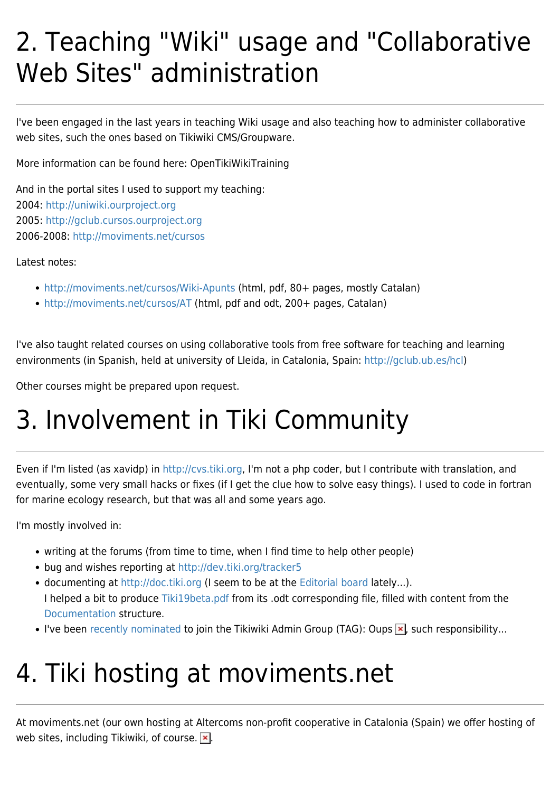### 2. Teaching "Wiki" usage and "Collaborative Web Sites" administration

I've been engaged in the last years in teaching Wiki usage and also teaching how to administer collaborative web sites, such the ones based on Tikiwiki CMS/Groupware.

More information can be found here: OpenTikiWikiTraining

And in the portal sites I used to support my teaching: 2004: <http://uniwiki.ourproject.org> 2005: <http://gclub.cursos.ourproject.org> 2006-2008:<http://moviments.net/cursos>

Latest notes:

- <http://moviments.net/cursos/Wiki-Apunts> (html, pdf, 80+ pages, mostly Catalan)
- <http://moviments.net/cursos/AT>(html, pdf and odt, 200+ pages, Catalan)

I've also taught related courses on using collaborative tools from free software for teaching and learning environments (in Spanish, held at university of Lleida, in Catalonia, Spain: [http://gclub.ub.es/hcl\)](http://gclub.ub.es/hcl)

Other courses might be prepared upon request.

# 3. Involvement in Tiki Community

Even if I'm listed (as xavidp) in [http://cvs.tiki.org,](http://cvs.tiki.org) I'm not a php coder, but I contribute with translation, and eventually, some very small hacks or fixes (if I get the clue how to solve easy things). I used to code in fortran for marine ecology research, but that was all and some years ago.

I'm mostly involved in:

- writing at the forums (from time to time, when I find time to help other people)
- bug and wishes reporting at<http://dev.tiki.org/tracker5>
- documenting at <http://doc.tiki.org> (I seem to be at the [Editorial board](http://doc.tiki.org/Editorial%20board) lately...). I helped a bit to produce [Tiki19beta.pdf](http://doc.tiki.org/Tiki19beta.pdf) from its .odt corresponding file, filled with content from the [Documentation](http://doc.tiki.org/Documentation) structure.
- I've been [recently nominated](http://info.tiki.org/art25) to join the Tikiwiki Admin Group (TAG): Oups  $\blacktriangleright$ , such responsibility...

### 4. Tiki hosting at moviments.net

At moviments.net (our own hosting at Altercoms non-profit cooperative in Catalonia (Spain) we offer hosting of web sites, including Tikiwiki, of course.  $\mathbf{x}$ .